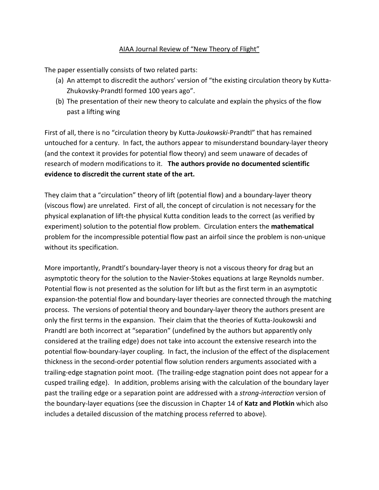## AIAA Journal Review of "New Theory of Flight"

The paper essentially consists of two related parts:

- (a) An attempt to discredit the authors' version of "the existing circulation theory by Kutta-Zhukovsky-Prandtl formed 100 years ago".
- (b) The presentation of their new theory to calculate and explain the physics of the flow past a lifting wing

First of all, there is no "circulation theory by Kutta-*Joukowski*-Prandtl" that has remained untouched for a century. In fact, the authors appear to misunderstand boundary-layer theory (and the context it provides for potential flow theory) and seem unaware of decades of research of modern modifications to it. **The authors provide no documented scientific evidence to discredit the current state of the art.**

They claim that a "circulation" theory of lift (potential flow) and a boundary-layer theory (viscous flow) are unrelated. First of all, the concept of circulation is not necessary for the physical explanation of lift-the physical Kutta condition leads to the correct (as verified by experiment) solution to the potential flow problem. Circulation enters the **mathematical**  problem for the incompressible potential flow past an airfoil since the problem is non-unique without its specification.

More importantly, Prandtl's boundary-layer theory is not a viscous theory for drag but an asymptotic theory for the solution to the Navier-Stokes equations at large Reynolds number. Potential flow is not presented as the solution for lift but as the first term in an asymptotic expansion-the potential flow and boundary-layer theories are connected through the matching process. The versions of potential theory and boundary-layer theory the authors present are only the first terms in the expansion. Their claim that the theories of Kutta-Joukowski and Prandtl are both incorrect at "separation" (undefined by the authors but apparently only considered at the trailing edge) does not take into account the extensive research into the potential flow-boundary-layer coupling. In fact, the inclusion of the effect of the displacement thickness in the second-order potential flow solution renders arguments associated with a trailing-edge stagnation point moot. (The trailing-edge stagnation point does not appear for a cusped trailing edge). In addition, problems arising with the calculation of the boundary layer past the trailing edge or a separation point are addressed with a *strong-interaction* version of the boundary-layer equations (see the discussion in Chapter 14 of **Katz and Plotkin** which also includes a detailed discussion of the matching process referred to above).